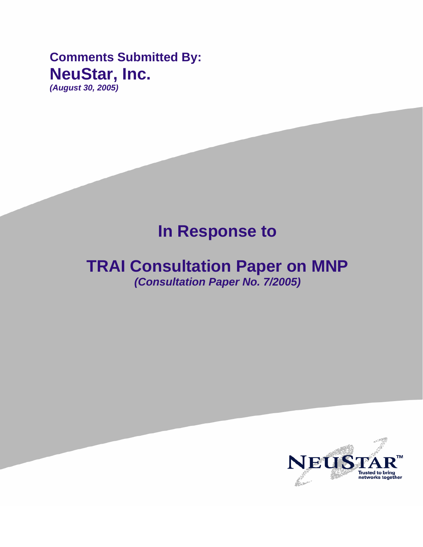**Comments Submitted By: NeuStar, Inc.**  *(August 30, 2005)* 

# **In Response to**

## **TRAI Consultation Paper on MNP**  *(Consultation Paper No. 7/2005)*

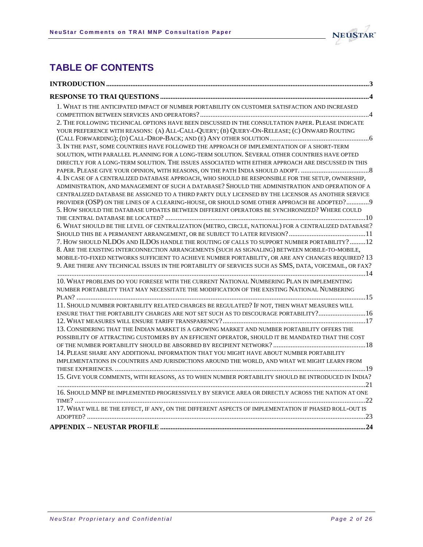

## **TABLE OF CONTENTS**

| 1. WHAT IS THE ANTICIPATED IMPACT OF NUMBER PORTABILITY ON CUSTOMER SATISFACTION AND INCREASED         |
|--------------------------------------------------------------------------------------------------------|
|                                                                                                        |
| 2. THE FOLLOWING TECHNICAL OPTIONS HAVE BEEN DISCUSSED IN THE CONSULTATION PAPER. PLEASE INDICATE      |
| YOUR PREFERENCE WITH REASONS: (A) ALL-CALL-QUERY; (B) QUERY-ON-RELEASE; (C) ONWARD ROUTING             |
|                                                                                                        |
| 3. IN THE PAST, SOME COUNTRIES HAVE FOLLOWED THE APPROACH OF IMPLEMENTATION OF A SHORT-TERM            |
| SOLUTION, WITH PARALLEL PLANNING FOR A LONG-TERM SOLUTION. SEVERAL OTHER COUNTRIES HAVE OPTED          |
| DIRECTLY FOR A LONG-TERM SOLUTION. THE ISSUES ASSOCIATED WITH EITHER APPROACH ARE DISCUSSED IN THIS    |
|                                                                                                        |
| 4. IN CASE OF A CENTRALIZED DATABASE APPROACH, WHO SHOULD BE RESPONSIBLE FOR THE SETUP, OWNERSHIP,     |
| ADMINISTRATION, AND MANAGEMENT OF SUCH A DATABASE? SHOULD THE ADMINISTRATION AND OPERATION OF A        |
| CENTRALIZED DATABASE BE ASSIGNED TO A THIRD PARTY DULY LICENSED BY THE LICENSOR AS ANOTHER SERVICE     |
| PROVIDER (OSP) ON THE LINES OF A CLEARING-HOUSE, OR SHOULD SOME OTHER APPROACH BE ADOPTED? 9           |
| 5. HOW SHOULD THE DATABASE UPDATES BETWEEN DIFFERENT OPERATORS BE SYNCHRONIZED? WHERE COULD            |
|                                                                                                        |
| 6. WHAT SHOULD BE THE LEVEL OF CENTRALIZATION (METRO, CIRCLE, NATIONAL) FOR A CENTRALIZED DATABASE?    |
|                                                                                                        |
| 7. HOW SHOULD NLDOS AND ILDOS HANDLE THE ROUTING OF CALLS TO SUPPORT NUMBER PORTABILITY?12             |
| 8. ARE THE EXISTING INTERCONNECTION ARRANGEMENTS (SUCH AS SIGNALING) BETWEEN MOBILE-TO-MOBILE,         |
| MOBILE-TO-FIXED NETWORKS SUFFICIENT TO ACHIEVE NUMBER PORTABILITY, OR ARE ANY CHANGES REQUIRED? 13     |
| 9. ARE THERE ANY TECHNICAL ISSUES IN THE PORTABILITY OF SERVICES SUCH AS SMS, DATA, VOICEMAIL, OR FAX? |
| 10. WHAT PROBLEMS DO YOU FORESEE WITH THE CURRENT NATIONAL NUMBERING PLAN IN IMPLEMENTING              |
| NUMBER PORTABILITY THAT MAY NECESSITATE THE MODIFICATION OF THE EXISTING NATIONAL NUMBERING            |
|                                                                                                        |
| 11. SHOULD NUMBER PORTABILITY RELATED CHARGES BE REGULATED? IF NOT, THEN WHAT MEASURES WILL            |
| ENSURE THAT THE PORTABILITY CHARGES ARE NOT SET SUCH AS TO DISCOURAGE PORTABILITY? 16                  |
|                                                                                                        |
| 13. CONSIDERING THAT THE INDIAN MARKET IS A GROWING MARKET AND NUMBER PORTABILITY OFFERS THE           |
| POSSIBILITY OF ATTRACTING CUSTOMERS BY AN EFFICIENT OPERATOR, SHOULD IT BE MANDATED THAT THE COST      |
|                                                                                                        |
| 14. PLEASE SHARE ANY ADDITIONAL INFORMATION THAT YOU MIGHT HAVE ABOUT NUMBER PORTABILITY               |
| IMPLEMENTATIONS IN COUNTRIES AND JURISDICTIONS AROUND THE WORLD, AND WHAT WE MIGHT LEARN FROM          |
|                                                                                                        |
| 15. GIVE YOUR COMMENTS, WITH REASONS, AS TO WHEN NUMBER PORTABILITY SHOULD BE INTRODUCED IN INDIA?     |
|                                                                                                        |
| 16. SHOULD MNP BE IMPLEMENTED PROGRESSIVELY BY SERVICE AREA OR DIRECTLY ACROSS THE NATION AT ONE       |
|                                                                                                        |
| 17. WHAT WILL BE THE EFFECT, IF ANY, ON THE DIFFERENT ASPECTS OF IMPLEMENTATION IF PHASED ROLL-OUT IS  |
|                                                                                                        |
|                                                                                                        |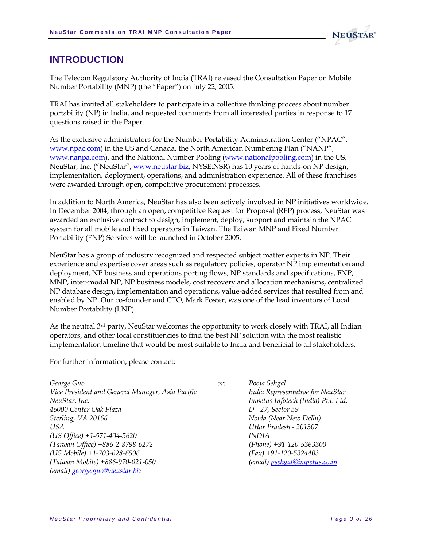

### <span id="page-2-0"></span>**INTRODUCTION**

The Telecom Regulatory Authority of India (TRAI) released the Consultation Paper on Mobile Number Portability (MNP) (the "Paper") on July 22, 2005.

TRAI has invited all stakeholders to participate in a collective thinking process about number portability (NP) in India, and requested comments from all interested parties in response to 17 questions raised in the Paper.

As the exclusive administrators for the Number Portability Administration Center ("NPAC", [www.npac.com\)](http://www.npac.com/) in the US and Canada, the North American Numbering Plan ("NANP", [www.nanpa.com](http://www.nanpa.com/)), and the National Number Pooling ([www.nationalpooling.com\)](http://www.nationalpooling.com/) in the US, NeuStar, Inc. ("NeuStar", [www.neustar.biz](http://www.neustar.biz/), NYSE:NSR) has 10 years of hands-on NP design, implementation, deployment, operations, and administration experience. All of these franchises were awarded through open, competitive procurement processes.

In addition to North America, NeuStar has also been actively involved in NP initiatives worldwide. In December 2004, through an open, competitive Request for Proposal (RFP) process, NeuStar was awarded an exclusive contract to design, implement, deploy, support and maintain the NPAC system for all mobile and fixed operators in Taiwan. The Taiwan MNP and Fixed Number Portability (FNP) Services will be launched in October 2005.

NeuStar has a group of industry recognized and respected subject matter experts in NP. Their experience and expertise cover areas such as regulatory policies, operator NP implementation and deployment, NP business and operations porting flows, NP standards and specifications, FNP, MNP, inter-modal NP, NP business models, cost recovery and allocation mechanisms, centralized NP database design, implementation and operations, value-added services that resulted from and enabled by NP. Our co-founder and CTO, Mark Foster, was one of the lead inventors of Local Number Portability (LNP).

As the neutral 3<sup>rd</sup> party, NeuStar welcomes the opportunity to work closely with TRAI, all Indian operators, and other local constituencies to find the best NP solution with the most realistic implementation timeline that would be most suitable to India and beneficial to all stakeholders.

For further information, please contact:

| George Guo                                       | or: | Pooja Sehgal                       |
|--------------------------------------------------|-----|------------------------------------|
| Vice President and General Manager, Asia Pacific |     | India Representative for NeuStar   |
| NeuStar, Inc.                                    |     | Impetus Infotech (India) Pvt. Ltd. |
| 46000 Center Oak Plaza                           |     | D - 27, Sector 59                  |
| Sterling, VA 20166                               |     | Noida (Near New Delhi)             |
| USA                                              |     | Uttar Pradesh - 201307             |
| $(US \text{ Office}) + 1 - 571 - 434 - 5620$     |     | <i>INDIA</i>                       |
| (Taiwan Office) +886-2-8798-6272                 |     | $(Phone) +91-120-5363300$          |
| (US Mobile) +1-703-628-6506                      |     | $(Fax) +91-120-5324403$            |
| (Taiwan Mobile) +886-970-021-050                 |     | (email) psehgal@impetus.co.in      |
| (email) george.guo@neustar.biz                   |     |                                    |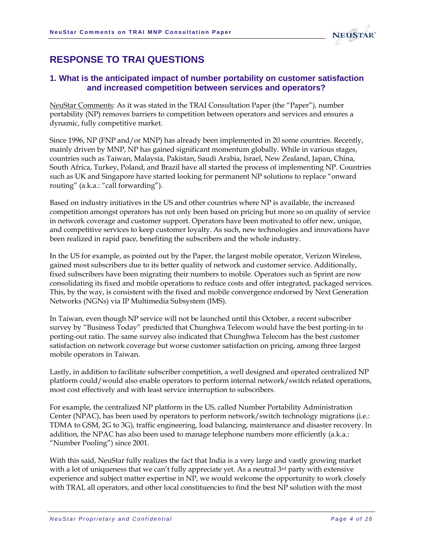

## <span id="page-3-0"></span>**RESPONSE TO TRAI QUESTIONS**

#### **1. What is the anticipated impact of number portability on customer satisfaction and increased competition between services and operators?**

NeuStar Comments: As it was stated in the TRAI Consultation Paper (the "Paper"), number portability (NP) removes barriers to competition between operators and services and ensures a dynamic, fully competitive market.

Since 1996, NP (FNP and/or MNP) has already been implemented in 20 some countries. Recently, mainly driven by MNP, NP has gained significant momentum globally. While in various stages, countries such as Taiwan, Malaysia, Pakistan, Saudi Arabia, Israel, New Zealand, Japan, China, South Africa, Turkey, Poland, and Brazil have all started the process of implementing NP. Countries such as UK and Singapore have started looking for permanent NP solutions to replace "onward routing" (a.k.a.: "call forwarding").

Based on industry initiatives in the US and other countries where NP is available, the increased competition amongst operators has not only been based on pricing but more so on quality of service in network coverage and customer support. Operators have been motivated to offer new, unique, and competitive services to keep customer loyalty. As such, new technologies and innovations have been realized in rapid pace, benefiting the subscribers and the whole industry.

In the US for example, as pointed out by the Paper, the largest mobile operator, Verizon Wireless, gained most subscribers due to its better quality of network and customer service. Additionally, fixed subscribers have been migrating their numbers to mobile. Operators such as Sprint are now consolidating its fixed and mobile operations to reduce costs and offer integrated, packaged services. This, by the way, is consistent with the fixed and mobile convergence endorsed by Next Generation Networks (NGNs) via IP Multimedia Subsystem (IMS).

In Taiwan, even though NP service will not be launched until this October, a recent subscriber survey by "Business Today" predicted that Chunghwa Telecom would have the best porting-in to porting-out ratio. The same survey also indicated that Chunghwa Telecom has the best customer satisfaction on network coverage but worse customer satisfaction on pricing, among three largest mobile operators in Taiwan.

Lastly, in addition to facilitate subscriber competition, a well designed and operated centralized NP platform could/would also enable operators to perform internal network/switch related operations, most cost effectively and with least service interruption to subscribers.

For example, the centralized NP platform in the US, called Number Portability Administration Center (NPAC), has been used by operators to perform network/switch technology migrations (i.e.: TDMA to GSM, 2G to 3G), traffic engineering, load balancing, maintenance and disaster recovery. In addition, the NPAC has also been used to manage telephone numbers more efficiently (a.k.a.: "Number Pooling") since 2001.

With this said, NeuStar fully realizes the fact that India is a very large and vastly growing market with a lot of uniqueness that we can't fully appreciate yet. As a neutral 3<sup>rd</sup> party with extensive experience and subject matter expertise in NP, we would welcome the opportunity to work closely with TRAI, all operators, and other local constituencies to find the best NP solution with the most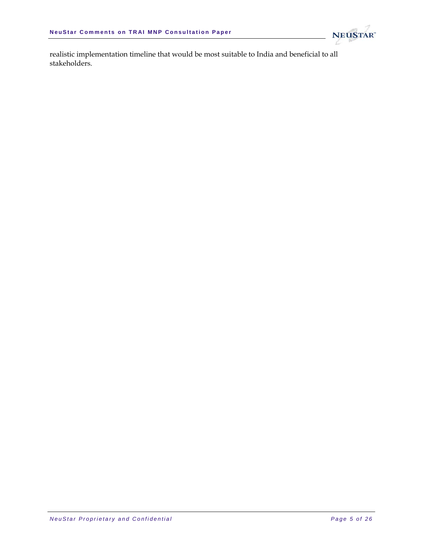

realistic implementation timeline that would be most suitable to India and beneficial to all stakeholders.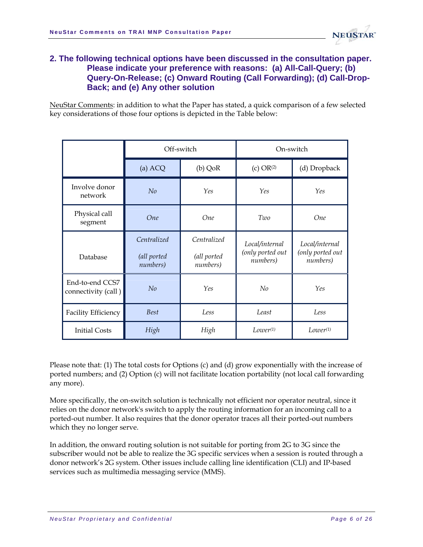

#### <span id="page-5-0"></span>**2. The following technical options have been discussed in the consultation paper. Please indicate your preference with reasons: (a) All-Call-Query; (b) Query-On-Release; (c) Onward Routing (Call Forwarding); (d) Call-Drop-Back; and (e) Any other solution**

NeuStar Comments: in addition to what the Paper has stated, a quick comparison of a few selected key considerations of those four options is depicted in the Table below:

|                                        | Off-switch                             |                                        | On-switch                                      |                                                |
|----------------------------------------|----------------------------------------|----------------------------------------|------------------------------------------------|------------------------------------------------|
|                                        | (a) ACQ                                | $(b)$ QoR                              | (c) OR <sup>(2)</sup>                          | (d) Dropback                                   |
| Involve donor<br>network               | No                                     | Yes                                    | Yes                                            | Yes                                            |
| Physical call<br>segment               | <b>One</b>                             | <b>One</b>                             | Two                                            | <b>One</b>                                     |
| Database                               | Centralized<br>(all ported<br>numbers) | Centralized<br>(all ported<br>numbers) | Local/internal<br>(only ported out<br>numbers) | Local/internal<br>(only ported out<br>numbers) |
| End-to-end CCS7<br>connectivity (call) | No                                     | Yes                                    | No                                             | Yes                                            |
| Facility Efficiency                    | <b>Best</b>                            | Less                                   | Least                                          | Less                                           |
| <b>Initial Costs</b>                   | High                                   | High                                   | $Lower^{(1)}$                                  | $Lower^{(1)}$                                  |

Please note that: (1) The total costs for Options (c) and (d) grow exponentially with the increase of ported numbers; and (2) Option (c) will not facilitate location portability (not local call forwarding any more).

More specifically, the on-switch solution is technically not efficient nor operator neutral, since it relies on the donor network's switch to apply the routing information for an incoming call to a ported-out number. It also requires that the donor operator traces all their ported-out numbers which they no longer serve.

In addition, the onward routing solution is not suitable for porting from 2G to 3G since the subscriber would not be able to realize the 3G specific services when a session is routed through a donor network's 2G system. Other issues include calling line identification (CLI) and IP-based services such as multimedia messaging service (MMS).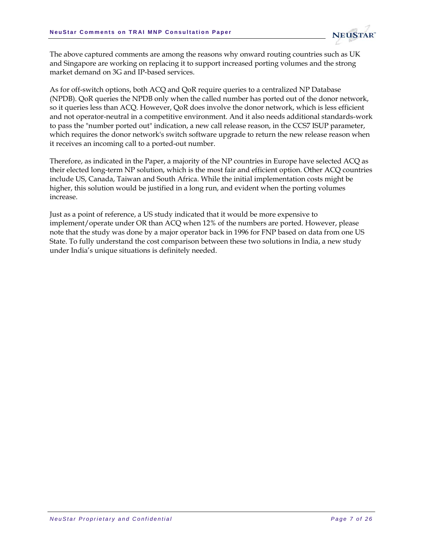

The above captured comments are among the reasons why onward routing countries such as UK and Singapore are working on replacing it to support increased porting volumes and the strong market demand on 3G and IP-based services.

As for off-switch options, both ACQ and QoR require queries to a centralized NP Database (NPDB). QoR queries the NPDB only when the called number has ported out of the donor network, so it queries less than ACQ. However, QoR does involve the donor network, which is less efficient and not operator-neutral in a competitive environment. And it also needs additional standards-work to pass the "number ported out" indication, a new call release reason, in the CCS7 ISUP parameter, which requires the donor network's switch software upgrade to return the new release reason when it receives an incoming call to a ported-out number.

Therefore, as indicated in the Paper, a majority of the NP countries in Europe have selected ACQ as their elected long-term NP solution, which is the most fair and efficient option. Other ACQ countries include US, Canada, Taiwan and South Africa. While the initial implementation costs might be higher, this solution would be justified in a long run, and evident when the porting volumes increase.

Just as a point of reference, a US study indicated that it would be more expensive to implement/operate under OR than ACQ when 12% of the numbers are ported. However, please note that the study was done by a major operator back in 1996 for FNP based on data from one US State. To fully understand the cost comparison between these two solutions in India, a new study under India's unique situations is definitely needed.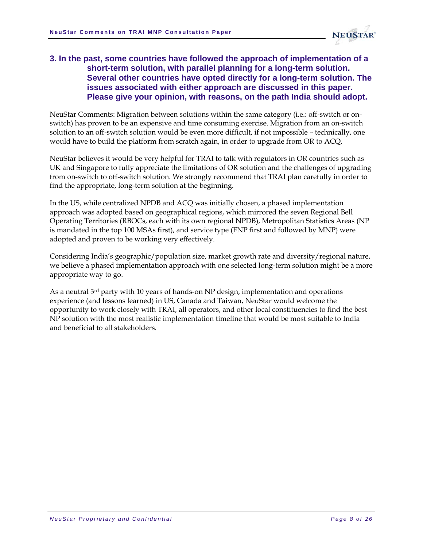

#### <span id="page-7-0"></span>**3. In the past, some countries have followed the approach of implementation of a short-term solution, with parallel planning for a long-term solution. Several other countries have opted directly for a long-term solution. The issues associated with either approach are discussed in this paper. Please give your opinion, with reasons, on the path India should adopt.**

NeuStar Comments: Migration between solutions within the same category (i.e.: off-switch or onswitch) has proven to be an expensive and time consuming exercise. Migration from an on-switch solution to an off-switch solution would be even more difficult, if not impossible – technically, one would have to build the platform from scratch again, in order to upgrade from OR to ACQ.

NeuStar believes it would be very helpful for TRAI to talk with regulators in OR countries such as UK and Singapore to fully appreciate the limitations of OR solution and the challenges of upgrading from on-switch to off-switch solution. We strongly recommend that TRAI plan carefully in order to find the appropriate, long-term solution at the beginning.

In the US, while centralized NPDB and ACQ was initially chosen, a phased implementation approach was adopted based on geographical regions, which mirrored the seven Regional Bell Operating Territories (RBOCs, each with its own regional NPDB), Metropolitan Statistics Areas (NP is mandated in the top 100 MSAs first), and service type (FNP first and followed by MNP) were adopted and proven to be working very effectively.

Considering India's geographic/population size, market growth rate and diversity/regional nature, we believe a phased implementation approach with one selected long-term solution might be a more appropriate way to go.

As a neutral 3<sup>rd</sup> party with 10 years of hands-on NP design, implementation and operations experience (and lessons learned) in US, Canada and Taiwan, NeuStar would welcome the opportunity to work closely with TRAI, all operators, and other local constituencies to find the best NP solution with the most realistic implementation timeline that would be most suitable to India and beneficial to all stakeholders.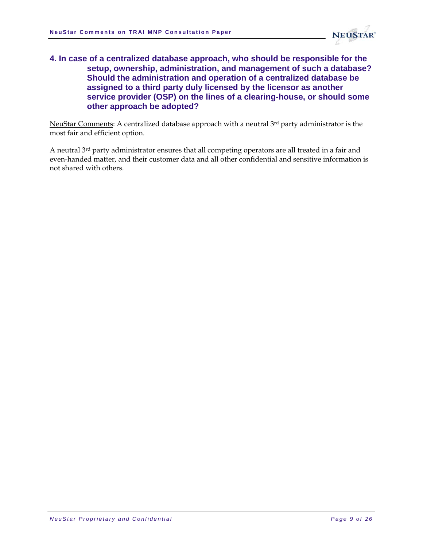

#### <span id="page-8-0"></span>**4. In case of a centralized database approach, who should be responsible for the setup, ownership, administration, and management of such a database? Should the administration and operation of a centralized database be assigned to a third party duly licensed by the licensor as another service provider (OSP) on the lines of a clearing-house, or should some other approach be adopted?**

NeuStar Comments: A centralized database approach with a neutral 3rd party administrator is the most fair and efficient option.

A neutral 3rd party administrator ensures that all competing operators are all treated in a fair and even-handed matter, and their customer data and all other confidential and sensitive information is not shared with others.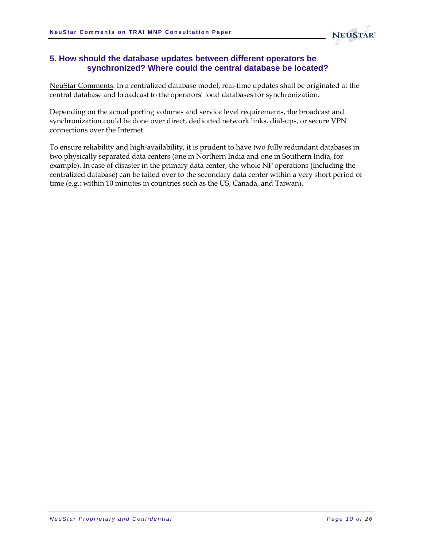

#### <span id="page-9-0"></span>**5. How should the database updates between different operators be synchronized? Where could the central database be located?**

NeuStar Comments: In a centralized database model, real-time updates shall be originated at the central database and broadcast to the operators' local databases for synchronization.

Depending on the actual porting volumes and service level requirements, the broadcast and synchronization could be done over direct, dedicated network links, dial-ups, or secure VPN connections over the Internet.

To ensure reliability and high-availability, it is prudent to have two fully redundant databases in two physically separated data centers (one in Northern India and one in Southern India, for example). In case of disaster in the primary data center, the whole NP operations (including the centralized database) can be failed over to the secondary data center within a very short period of time (e.g.: within 10 minutes in countries such as the US, Canada, and Taiwan).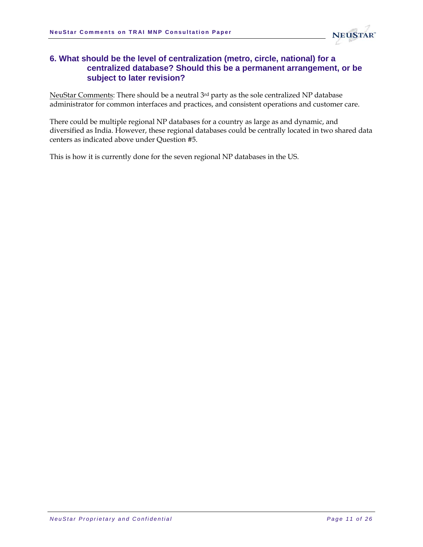

#### <span id="page-10-0"></span>**6. What should be the level of centralization (metro, circle, national) for a centralized database? Should this be a permanent arrangement, or be subject to later revision?**

NeuStar Comments: There should be a neutral 3rd party as the sole centralized NP database administrator for common interfaces and practices, and consistent operations and customer care.

There could be multiple regional NP databases for a country as large as and dynamic, and diversified as India. However, these regional databases could be centrally located in two shared data centers as indicated above under Question #5.

This is how it is currently done for the seven regional NP databases in the US.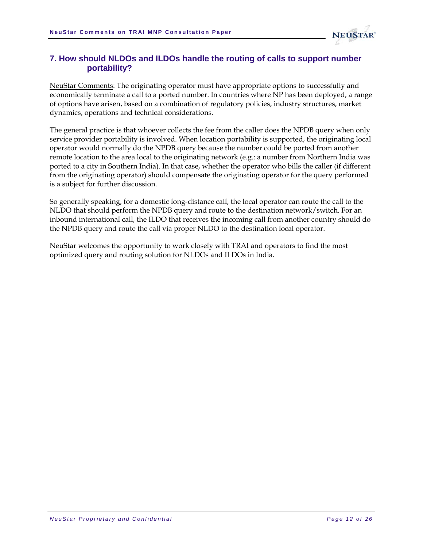

#### <span id="page-11-0"></span>**7. How should NLDOs and ILDOs handle the routing of calls to support number portability?**

NeuStar Comments: The originating operator must have appropriate options to successfully and economically terminate a call to a ported number. In countries where NP has been deployed, a range of options have arisen, based on a combination of regulatory policies, industry structures, market dynamics, operations and technical considerations.

The general practice is that whoever collects the fee from the caller does the NPDB query when only service provider portability is involved. When location portability is supported, the originating local operator would normally do the NPDB query because the number could be ported from another remote location to the area local to the originating network (e.g.: a number from Northern India was ported to a city in Southern India). In that case, whether the operator who bills the caller (if different from the originating operator) should compensate the originating operator for the query performed is a subject for further discussion.

So generally speaking, for a domestic long-distance call, the local operator can route the call to the NLDO that should perform the NPDB query and route to the destination network/switch. For an inbound international call, the ILDO that receives the incoming call from another country should do the NPDB query and route the call via proper NLDO to the destination local operator.

NeuStar welcomes the opportunity to work closely with TRAI and operators to find the most optimized query and routing solution for NLDOs and ILDOs in India.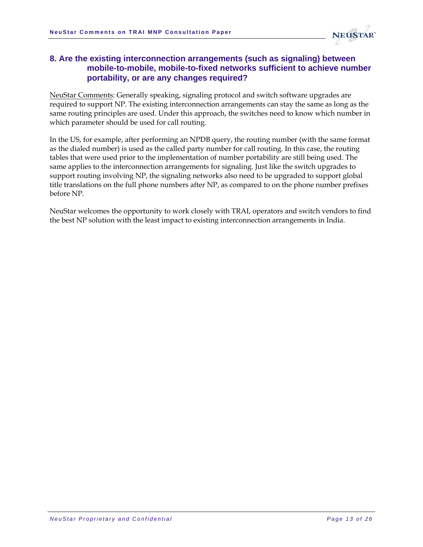

#### <span id="page-12-0"></span>**8. Are the existing interconnection arrangements (such as signaling) between mobile-to-mobile, mobile-to-fixed networks sufficient to achieve number portability, or are any changes required?**

NeuStar Comments: Generally speaking, signaling protocol and switch software upgrades are required to support NP. The existing interconnection arrangements can stay the same as long as the same routing principles are used. Under this approach, the switches need to know which number in which parameter should be used for call routing.

In the US, for example, after performing an NPDB query, the routing number (with the same format as the dialed number) is used as the called party number for call routing. In this case, the routing tables that were used prior to the implementation of number portability are still being used. The same applies to the interconnection arrangements for signaling. Just like the switch upgrades to support routing involving NP, the signaling networks also need to be upgraded to support global title translations on the full phone numbers after NP, as compared to on the phone number prefixes before NP.

NeuStar welcomes the opportunity to work closely with TRAI, operators and switch vendors to find the best NP solution with the least impact to existing interconnection arrangements in India.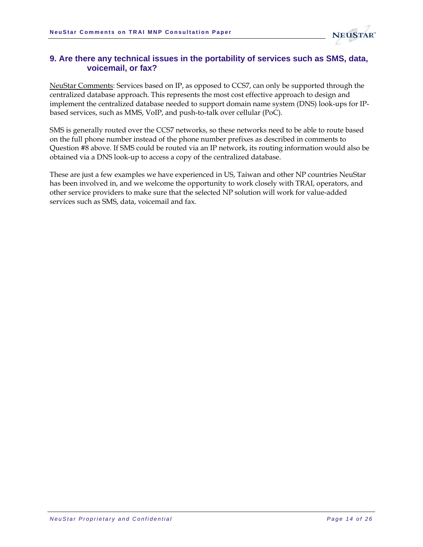

#### <span id="page-13-0"></span>**9. Are there any technical issues in the portability of services such as SMS, data, voicemail, or fax?**

NeuStar Comments: Services based on IP, as opposed to CCS7, can only be supported through the centralized database approach. This represents the most cost effective approach to design and implement the centralized database needed to support domain name system (DNS) look-ups for IPbased services, such as MMS, VoIP, and push-to-talk over cellular (PoC).

SMS is generally routed over the CCS7 networks, so these networks need to be able to route based on the full phone number instead of the phone number prefixes as described in comments to Question #8 above. If SMS could be routed via an IP network, its routing information would also be obtained via a DNS look-up to access a copy of the centralized database.

These are just a few examples we have experienced in US, Taiwan and other NP countries NeuStar has been involved in, and we welcome the opportunity to work closely with TRAI, operators, and other service providers to make sure that the selected NP solution will work for value-added services such as SMS, data, voicemail and fax.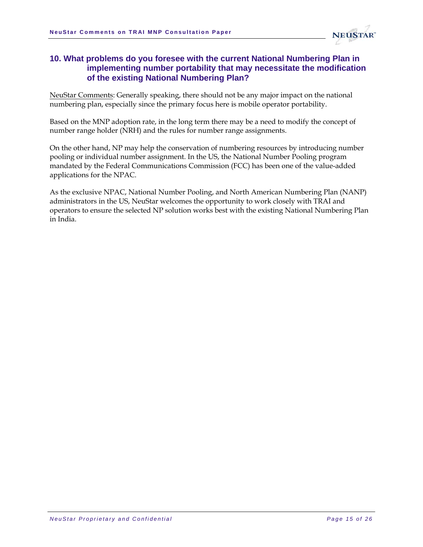

#### <span id="page-14-0"></span>**10. What problems do you foresee with the current National Numbering Plan in implementing number portability that may necessitate the modification of the existing National Numbering Plan?**

NeuStar Comments: Generally speaking, there should not be any major impact on the national numbering plan, especially since the primary focus here is mobile operator portability.

Based on the MNP adoption rate, in the long term there may be a need to modify the concept of number range holder (NRH) and the rules for number range assignments.

On the other hand, NP may help the conservation of numbering resources by introducing number pooling or individual number assignment. In the US, the National Number Pooling program mandated by the Federal Communications Commission (FCC) has been one of the value-added applications for the NPAC.

As the exclusive NPAC, National Number Pooling, and North American Numbering Plan (NANP) administrators in the US, NeuStar welcomes the opportunity to work closely with TRAI and operators to ensure the selected NP solution works best with the existing National Numbering Plan in India.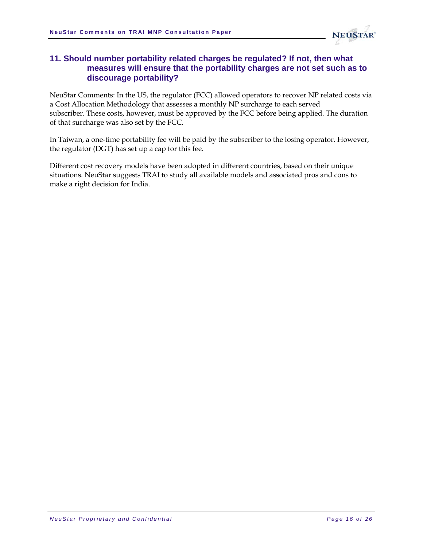

#### <span id="page-15-0"></span>**11. Should number portability related charges be regulated? If not, then what measures will ensure that the portability charges are not set such as to discourage portability?**

NeuStar Comments: In the US, the regulator (FCC) allowed operators to recover NP related costs via a Cost Allocation Methodology that assesses a monthly NP surcharge to each served subscriber. These costs, however, must be approved by the FCC before being applied. The duration of that surcharge was also set by the FCC.

In Taiwan, a one-time portability fee will be paid by the subscriber to the losing operator. However, the regulator (DGT) has set up a cap for this fee.

Different cost recovery models have been adopted in different countries, based on their unique situations. NeuStar suggests TRAI to study all available models and associated pros and cons to make a right decision for India.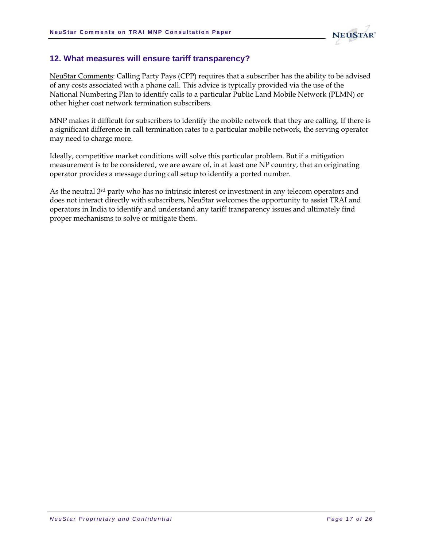

#### <span id="page-16-0"></span>**12. What measures will ensure tariff transparency?**

NeuStar Comments: Calling Party Pays (CPP) requires that a subscriber has the ability to be advised of any costs associated with a phone call. This advice is typically provided via the use of the National Numbering Plan to identify calls to a particular Public Land Mobile Network (PLMN) or other higher cost network termination subscribers.

MNP makes it difficult for subscribers to identify the mobile network that they are calling. If there is a significant difference in call termination rates to a particular mobile network, the serving operator may need to charge more.

Ideally, competitive market conditions will solve this particular problem. But if a mitigation measurement is to be considered, we are aware of, in at least one NP country, that an originating operator provides a message during call setup to identify a ported number.

As the neutral 3rd party who has no intrinsic interest or investment in any telecom operators and does not interact directly with subscribers, NeuStar welcomes the opportunity to assist TRAI and operators in India to identify and understand any tariff transparency issues and ultimately find proper mechanisms to solve or mitigate them.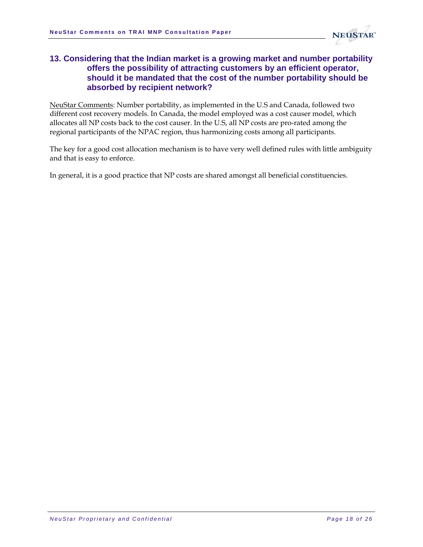

#### <span id="page-17-0"></span>**13. Considering that the Indian market is a growing market and number portability offers the possibility of attracting customers by an efficient operator, should it be mandated that the cost of the number portability should be absorbed by recipient network?**

NeuStar Comments: Number portability, as implemented in the U.S and Canada, followed two different cost recovery models. In Canada, the model employed was a cost causer model, which allocates all NP costs back to the cost causer. In the U.S, all NP costs are pro-rated among the regional participants of the NPAC region, thus harmonizing costs among all participants.

The key for a good cost allocation mechanism is to have very well defined rules with little ambiguity and that is easy to enforce.

In general, it is a good practice that NP costs are shared amongst all beneficial constituencies.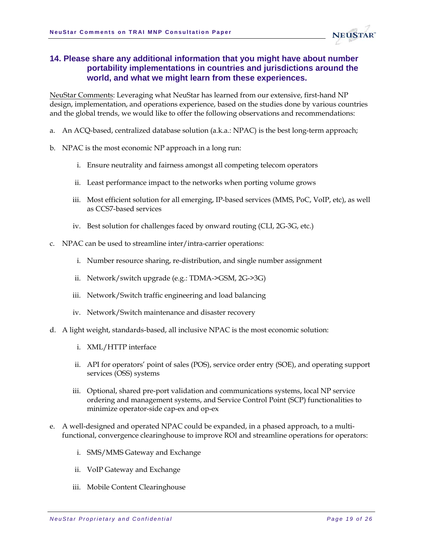

#### <span id="page-18-0"></span>**14. Please share any additional information that you might have about number portability implementations in countries and jurisdictions around the world, and what we might learn from these experiences.**

NeuStar Comments: Leveraging what NeuStar has learned from our extensive, first-hand NP design, implementation, and operations experience, based on the studies done by various countries and the global trends, we would like to offer the following observations and recommendations:

- a. An ACQ-based, centralized database solution (a.k.a.: NPAC) is the best long-term approach;
- b. NPAC is the most economic NP approach in a long run:
	- i. Ensure neutrality and fairness amongst all competing telecom operators
	- ii. Least performance impact to the networks when porting volume grows
	- iii. Most efficient solution for all emerging, IP-based services (MMS, PoC, VoIP, etc), as well as CCS7-based services
	- iv. Best solution for challenges faced by onward routing (CLI, 2G-3G, etc.)
- c. NPAC can be used to streamline inter/intra-carrier operations:
	- i. Number resource sharing, re-distribution, and single number assignment
	- ii. Network/switch upgrade (e.g.: TDMA->GSM, 2G->3G)
	- iii. Network/Switch traffic engineering and load balancing
	- iv. Network/Switch maintenance and disaster recovery
- d. A light weight, standards-based, all inclusive NPAC is the most economic solution:
	- i. XML/HTTP interface
	- ii. API for operators' point of sales (POS), service order entry (SOE), and operating support services (OSS) systems
	- iii. Optional, shared pre-port validation and communications systems, local NP service ordering and management systems, and Service Control Point (SCP) functionalities to minimize operator-side cap-ex and op-ex
- e. A well-designed and operated NPAC could be expanded, in a phased approach, to a multifunctional, convergence clearinghouse to improve ROI and streamline operations for operators:
	- i. SMS/MMS Gateway and Exchange
	- ii. VoIP Gateway and Exchange
	- iii. Mobile Content Clearinghouse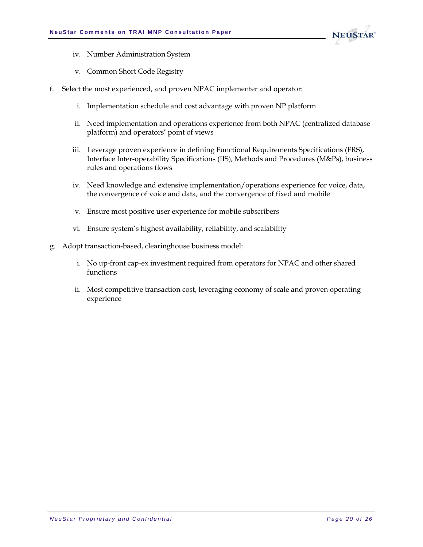

- iv. Number Administration System
- v. Common Short Code Registry
- f. Select the most experienced, and proven NPAC implementer and operator:
	- i. Implementation schedule and cost advantage with proven NP platform
	- ii. Need implementation and operations experience from both NPAC (centralized database platform) and operators' point of views
	- iii. Leverage proven experience in defining Functional Requirements Specifications (FRS), Interface Inter-operability Specifications (IIS), Methods and Procedures (M&Ps), business rules and operations flows
	- iv. Need knowledge and extensive implementation/operations experience for voice, data, the convergence of voice and data, and the convergence of fixed and mobile
	- v. Ensure most positive user experience for mobile subscribers
	- vi. Ensure system's highest availability, reliability, and scalability
- g. Adopt transaction-based, clearinghouse business model:
	- i. No up-front cap-ex investment required from operators for NPAC and other shared functions
	- ii. Most competitive transaction cost, leveraging economy of scale and proven operating experience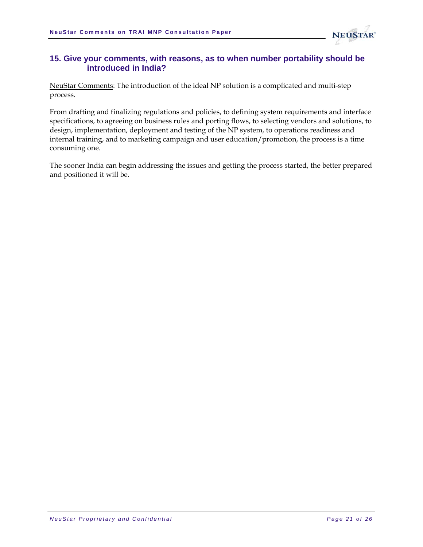

#### <span id="page-20-0"></span>**15. Give your comments, with reasons, as to when number portability should be introduced in India?**

NeuStar Comments: The introduction of the ideal NP solution is a complicated and multi-step process.

From drafting and finalizing regulations and policies, to defining system requirements and interface specifications, to agreeing on business rules and porting flows, to selecting vendors and solutions, to design, implementation, deployment and testing of the NP system, to operations readiness and internal training, and to marketing campaign and user education/promotion, the process is a time consuming one.

The sooner India can begin addressing the issues and getting the process started, the better prepared and positioned it will be.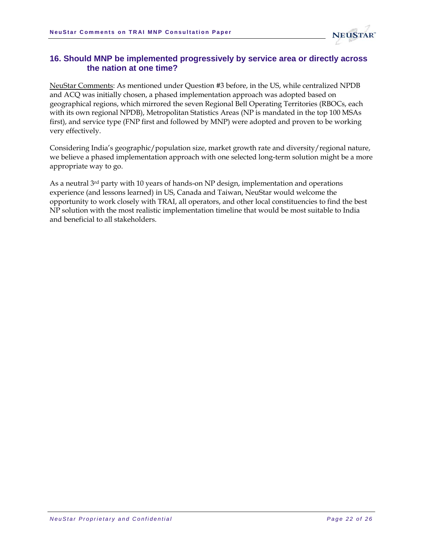

#### <span id="page-21-0"></span>**16. Should MNP be implemented progressively by service area or directly across the nation at one time?**

NeuStar Comments: As mentioned under Question #3 before, in the US, while centralized NPDB and ACQ was initially chosen, a phased implementation approach was adopted based on geographical regions, which mirrored the seven Regional Bell Operating Territories (RBOCs, each with its own regional NPDB), Metropolitan Statistics Areas (NP is mandated in the top 100 MSAs first), and service type (FNP first and followed by MNP) were adopted and proven to be working very effectively.

Considering India's geographic/population size, market growth rate and diversity/regional nature, we believe a phased implementation approach with one selected long-term solution might be a more appropriate way to go.

As a neutral 3rd party with 10 years of hands-on NP design, implementation and operations experience (and lessons learned) in US, Canada and Taiwan, NeuStar would welcome the opportunity to work closely with TRAI, all operators, and other local constituencies to find the best NP solution with the most realistic implementation timeline that would be most suitable to India and beneficial to all stakeholders.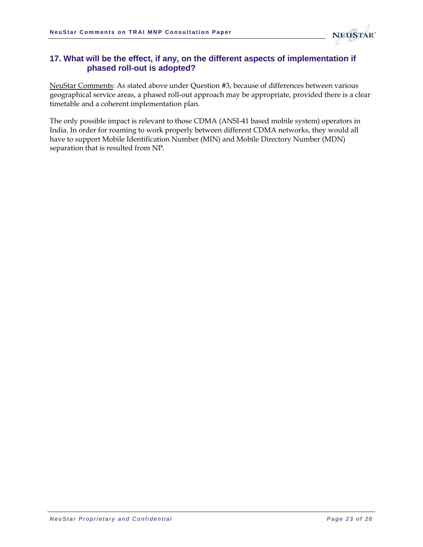

#### <span id="page-22-0"></span>**17. What will be the effect, if any, on the different aspects of implementation if phased roll-out is adopted?**

NeuStar Comments: As stated above under Question #3, because of differences between various geographical service areas, a phased roll-out approach may be appropriate, provided there is a clear timetable and a coherent implementation plan.

The only possible impact is relevant to those CDMA (ANSI-41 based mobile system) operators in India. In order for roaming to work properly between different CDMA networks, they would all have to support Mobile Identification Number (MIN) and Mobile Directory Number (MDN) separation that is resulted from NP.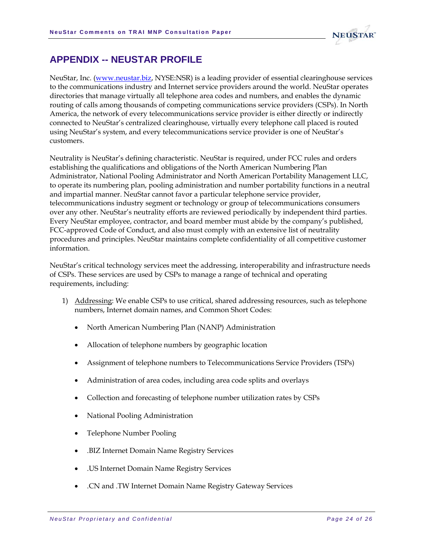

## <span id="page-23-0"></span>**APPENDIX -- NEUSTAR PROFILE**

NeuStar, Inc. ([www.neustar.biz](http://www.neustar.biz/), NYSE:NSR) is a leading provider of essential clearinghouse services to the communications industry and Internet service providers around the world. NeuStar operates directories that manage virtually all telephone area codes and numbers, and enables the dynamic routing of calls among thousands of competing communications service providers (CSPs). In North America, the network of every telecommunications service provider is either directly or indirectly connected to NeuStar's centralized clearinghouse, virtually every telephone call placed is routed using NeuStar's system, and every telecommunications service provider is one of NeuStar's customers.

Neutrality is NeuStar's defining characteristic. NeuStar is required, under FCC rules and orders establishing the qualifications and obligations of the North American Numbering Plan Administrator, National Pooling Administrator and North American Portability Management LLC, to operate its numbering plan, pooling administration and number portability functions in a neutral and impartial manner. NeuStar cannot favor a particular telephone service provider, telecommunications industry segment or technology or group of telecommunications consumers over any other. NeuStar's neutrality efforts are reviewed periodically by independent third parties. Every NeuStar employee, contractor, and board member must abide by the company's published, FCC-approved Code of Conduct, and also must comply with an extensive list of neutrality procedures and principles. NeuStar maintains complete confidentiality of all competitive customer information.

NeuStar's critical technology services meet the addressing, interoperability and infrastructure needs of CSPs. These services are used by CSPs to manage a range of technical and operating requirements, including:

- 1) Addressing: We enable CSPs to use critical, shared addressing resources, such as telephone numbers, Internet domain names, and Common Short Codes:
	- North American Numbering Plan (NANP) Administration
	- Allocation of telephone numbers by geographic location
	- Assignment of telephone numbers to Telecommunications Service Providers (TSPs)
	- Administration of area codes, including area code splits and overlays
	- Collection and forecasting of telephone number utilization rates by CSPs
	- National Pooling Administration
	- Telephone Number Pooling
	- .BIZ Internet Domain Name Registry Services
	- .US Internet Domain Name Registry Services
	- .CN and .TW Internet Domain Name Registry Gateway Services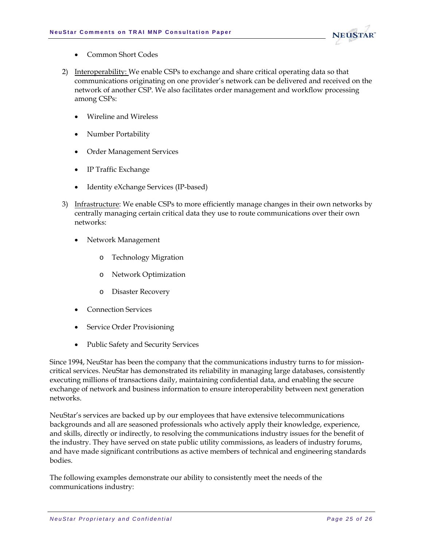

- Common Short Codes
- 2) Interoperability: We enable CSPs to exchange and share critical operating data so that communications originating on one provider's network can be delivered and received on the network of another CSP. We also facilitates order management and workflow processing among CSPs:
	- Wireline and Wireless
	- Number Portability
	- Order Management Services
	- IP Traffic Exchange
	- Identity eXchange Services (IP-based)
- 3) Infrastructure: We enable CSPs to more efficiently manage changes in their own networks by centrally managing certain critical data they use to route communications over their own networks:
	- Network Management
		- o Technology Migration
		- Network Optimization
		- o Disaster Recovery
	- Connection Services
	- **Service Order Provisioning**
	- Public Safety and Security Services

Since 1994, NeuStar has been the company that the communications industry turns to for missioncritical services. NeuStar has demonstrated its reliability in managing large databases, consistently executing millions of transactions daily, maintaining confidential data, and enabling the secure exchange of network and business information to ensure interoperability between next generation networks.

NeuStar's services are backed up by our employees that have extensive telecommunications backgrounds and all are seasoned professionals who actively apply their knowledge, experience, and skills, directly or indirectly, to resolving the communications industry issues for the benefit of the industry. They have served on state public utility commissions, as leaders of industry forums, and have made significant contributions as active members of technical and engineering standards bodies.

The following examples demonstrate our ability to consistently meet the needs of the communications industry: